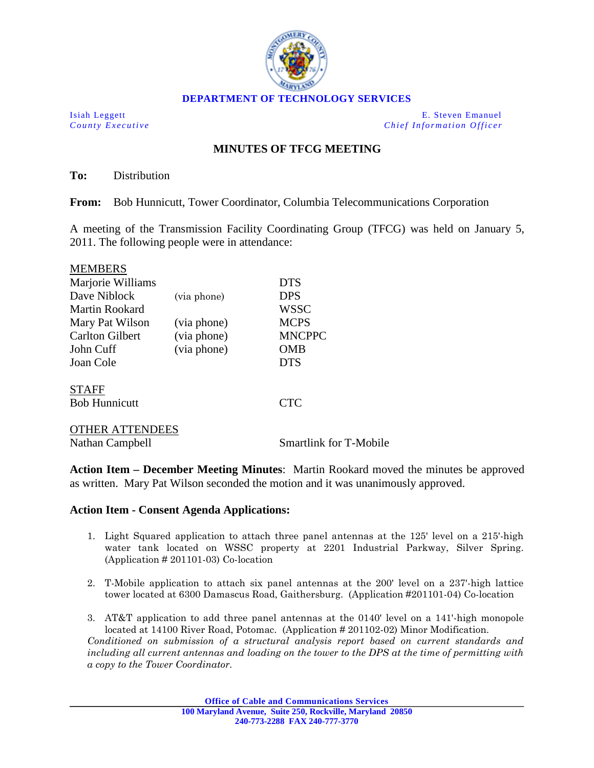

Isiah Leggett E. Steven Emanuel *County Executive Chief Information Officer*

## **MINUTES OF TFCG MEETING**

**To:** Distribution

 $\overline{\mathbf{m}}$ 

**From:** Bob Hunnicutt, Tower Coordinator, Columbia Telecommunications Corporation

A meeting of the Transmission Facility Coordinating Group (TFCG) was held on January 5, 2011. The following people were in attendance:

| <b>MEMBERS</b>         |             |                               |
|------------------------|-------------|-------------------------------|
| Marjorie Williams      |             | <b>DTS</b>                    |
| Dave Niblock           | (via phone) | <b>DPS</b>                    |
| <b>Martin Rookard</b>  |             | <b>WSSC</b>                   |
| Mary Pat Wilson        | (via phone) | <b>MCPS</b>                   |
| <b>Carlton Gilbert</b> | (via phone) | <b>MNCPPC</b>                 |
| John Cuff              | (via phone) | OMB                           |
| Joan Cole              |             | <b>DTS</b>                    |
| <b>STAFF</b>           |             |                               |
| <b>Bob Hunnicutt</b>   |             | <b>CTC</b>                    |
| <b>OTHER ATTENDEES</b> |             |                               |
| Nathan Campbell        |             | <b>Smartlink for T-Mobile</b> |

**Action Item – December Meeting Minutes**: Martin Rookard moved the minutes be approved as written. Mary Pat Wilson seconded the motion and it was unanimously approved.

## **Action Item - Consent Agenda Applications:**

- 1. Light Squared application to attach three panel antennas at the 125' level on a 215'-high water tank located on WSSC property at 2201 Industrial Parkway, Silver Spring. (Application # 201101-03) Co-location
- 2. T-Mobile application to attach six panel antennas at the 200' level on a 237'-high lattice tower located at 6300 Damascus Road, Gaithersburg. (Application #201101-04) Co-location
- 3. AT&T application to add three panel antennas at the 0140' level on a 141'-high monopole located at 14100 River Road, Potomac. (Application # 201102-02) Minor Modification. *Conditioned on submission of a structural analysis report based on current standards and including all current antennas and loading on the tower to the DPS at the time of permitting with a copy to the Tower Coordinator.*